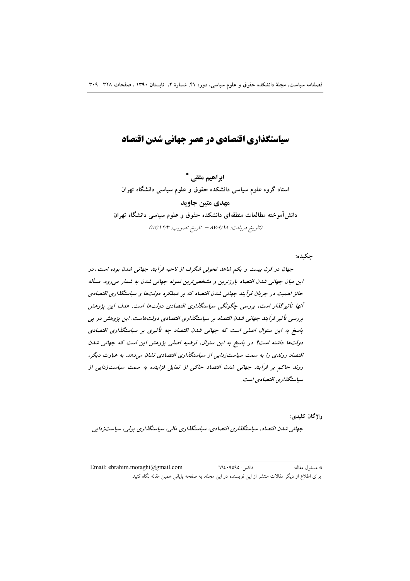# سیاستگذاری اقتصادی در عصر حهانی شدن اقتصاد

ابراهیم متقی \* استاد گروه علوم سیاسی دانشکده حقوق و علوم سیاسی دانشگاه تهران مهدی متبن حاوید دانش آموخته مطالعات منطقهای دانشکده حقوق و علوم سیاسی دانشگاه تهران (تاريخ دريافت: ١٨٧/٩/١٨ - تاريخ تصويب: ١٢/٣/٣)

جكيده:

جهان در قرن بیست و یکم شاهد تحولی شگرف از ناحیه فرآیند جهانی شدن بوده است. در این میان جهانی شدن اقتصاد بارزترین و مشخص ترین نمونه جهانی شدن به شمار می رود. مسأله حائز اهمیت در جریان فرآیند جهانی شدن اقتصاد که بر عملکرد دولتها و سیاستگذاری اقتصادی آنها تأثیر گذار است، بررسی چگونگی سیاستگذاری اقتصادی دولتها است. هدف این پژوهش بررسی تأثیر فرآیند جهانی شدن اقتصاد بر سیاستگذاری اقتصادی دولتهاست. این پژوهش در پی پاسخ به این سئوال اصلی است که جهانی شدن اقتصاد چه تأثیری بر سیاستگذاری اقتصادی دولتها داشته است؟ در پاسخ به این سئوال، فرضیه اصلی پژوهش این است که جهانی شدن اقتصاد روندی را به سمت سیاست;دایی از سیاستگذاری اقتصادی نشان میدهد. به عبارت دیگر، روند حاکم بر فرآیند جهانی شدن اقتصاد حاکی از تمایل فزاینده به سمت سیاستزدایی از سپاستگذاری اقتصادی است.

واژگان کليدي:

جهانی شدن اقتصاد، سیاستگذاری اقتصادی، سیاستگذاری مالی، سیاستگذاری پولی، سیاستزدایی

فاكس: ٩٥٩٥: ٦٦٤ Email: ebrahim.motaghi@gmail.com \* مسئول مقاله: برای اطلاع از دیگر مقالات منتشر از این نویسنده در این مجله، به صفحه پایانی همین مقاله نگاه کنید.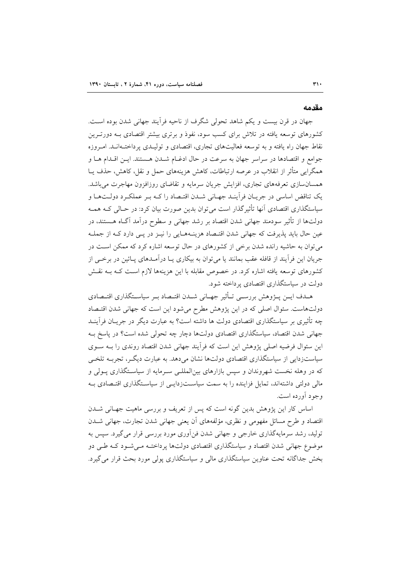#### مقدمه

جهان در قرن بیست و یکم شاهد تحولی شگرف از ناحیه فرأیند جهانی شدن بوده است. کشورهای توسعه یافته در تلاش برای کسب سود، نفوذ و برتری بیشتر اقتصادی بـه دورتـرین نقاط جهان راه یافته و به توسعه فعالیتهای تجاری، اقتصادی و تولیـدی پرداختـهانـد. امـروزه جوامع و اقتصادها در سراسر جهان به سرعت در حال ادغـام شـدن هـستند. ايـن اقـدام هـا و همگرایی متأثر از انقلاب در عرصه ارتباطات، کاهش هزینههای حمل و نقل، کاهش، حذف پــا همسانسازی تعرفههای تجاری، افزایش جریان سرمایه و تقاضای روزافزون مهاجرت میباشد. یک تناقض اساسی در جریـان فراّینـد جهـانی شـدن اقتـصاد را کـه بـر عملکـرد دولـتهـا و سیاستگذاری اقتصادی آنها تأثیرگذار است می توان بدین صورت بیان کرد: در حـالی کـه همـه دولتها از تأثیر سودمند جهانی شدن اقتصاد بر رشد جهانی و سطوح درآمد آگIه هــستند، در عین حال باید پذیرفت که جهانی شدن اقتـصاد هزینـههـایی را نیــز در پــی دارد کــه از جملــه می توان به حاشیه رانده شدن برخی از کشورهای در حال توسعه اشاره کرد که ممکن است در جریان این فرآیند از قافله عقب بمانند یا می توان به بیکاری یـا درآمـدهای پـائین در برخـی از کشورهای توسعه یافته اشاره کرد. در خصوص مقابله با این هزینهها لازم است کـه بـه نقـش دولت در سیاستگذاری اقتصادی پرداخته شود.

هـدف ايــن پــژوهش بررســي تــأثير جهــاني شــدن اقتــصاد بــر سياســتگذاري اقتــصادي دولتهاست. سئوال اصلی که در این پژوهش مطرح میشود این است که جهانی شدن اقتصاد چه تأثیری بر سیاستگذاری اقتصادی دولت ها داشته است؟ به عبارت دیگر در جریـان فرآینــد جهانی شدن اقتصاد، سیاستگذاری اقتصادی دولتها دچار چه تحولی شده است؟ در پاسخ بـه این سئوال فرضیه اصلی پژوهش این است که فرآیند جهانی شدن اقتصاد روندی را بـه سـوی سیاست; دایی از سیاستگذاری اقتصادی دولتها نشان می دهد. به عبارت دیگـر، تجربـه تلخـی که در وهله نخست شهروندان و سپس بازارهای بینالمللـی سـرمایه از سیاسـتگذاری پـولی و مالی دولتی داشتهاند، تمایل فزاینده را به سمت سیاســتزدایــی از سیاسـتگذاری اقتـصادی بـه وجود آورده است.

اساس کار این پژوهش بدین گونه است که پس از تعریف و بررسی ماهیت جهـانی شــدن اقتصاد و طرح مسائل مفهومی و نظری، مؤلفههای آن یعنی جهانی شدن تجارت، جهانی شــدن تولید، رشد سرمایهگذاری خارجی و جهانی شدن فن[وری مورد بررسی قرار میگیرد. سپس به موضوع جهانی شدن اقتصاد و سیاستگذاری اقتصادی دولتها پرداختـه مـی شـود کـه طـی دو بخش جداگانه تحت عناوین سیاستگذاری مالی و سیاستگذاری پولی مورد بحث قرار می گیرد.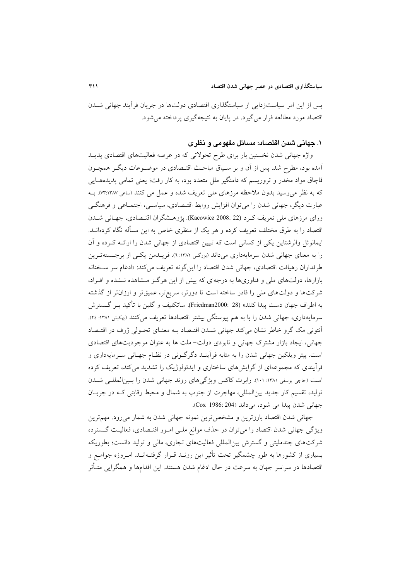یس از این امر سیاستزدایی از سیاستگذاری اقتصادی دولتها در جریان فرآیند جهانی شــدن اقتصاد مورد مطالعه قرار مي گيرد. در پايان به نتيجهگيري پرداخته مي شود.

# ١. جهاني شدن اقتصاد: مسائل مفهومي و نظري

واژه جهانی شدن نخستین بار برای طرح تحولاتی که در عرصه فعالیتهای اقتصادی پدیـد آمده بود، مطرح شد. پس از آن و بر سـیاق مباحـث اقتـصادی در موضـوعات دیگـر همچـون قاچاق مواد مخدر و تروریسم که دامنگیر ملل متعدد بود، به کار رفت؛ یعنی تمامی پدیدههایی که به نظر میررسید بدون ملاحظه مرزهای ملی تعریف شده و عمل می کنند (ساعی ۱۳۸۷:۱۳۸۷). بـه عبارت دیگر، جهانی شدن را می توان افزایش روابط اقتـصادی، سیاسـی، اجتمــاعی و فرهنگــی وراي مرزهاي ملي تعريف كـرد (Kacowicz 2008: 22). يژوهـشگران اقتـصادي، جهـاني شــدن اقتصاد را به طرق مختلف تعریف کرده و هر یک از منظری خاص به این مسأله نگاه کردهانــد. ایمانوئل والرشتاین یکی از کسانی است که تبیین اقتصادی از جهانی شدن را ارائـه کـرده و آن را به معنای جهانی شدن سرمایهداری میداند (بزرگ ۱۳۸۲: ۲). فریــدمن یکــی از برجــستهتــرین طرفداران رهيافت اقتصادى، جهانى شدن اقتصاد را اينگونه تعريف مى كند: «ادغام سر سـختانه بازارها، دولتهای ملی و فناوریها به درجهای که پیش از این هرگز مشاهده نشده و افراد، شرکتها و دولتهای ملی را قادر ساخته است تا دورتر، سریعتر، عمیقتر و ارزانتر از گذشته به اطراف جهان دست پیدا کنند» (Friedman2000: 28). ساتکلیف و گلین با تأکید بـر گـسترش سرمایهداری، جهانی شدن را با به هم پیوستگی بیشتر اقتصادها تعریف میکنند (بهکیش ۱۳۸۱: ۲٤). آنتونی مک گرو خاطر نشان میکند جهانی شـدن اقتـصاد بـه معنـای تحـولی ژرف در اقتـصاد جهانی، ایجاد بازار مشترک جهانی و نابودی دولت-ملت ها به عنوان موجودیتهای اقتصادی است. پیتر ویلکین جهانی شدن را به مثابه فرآینـد دگرگـونی در نظـام جهـانی سـرمایهداری و فرآیندی که مجموعهای از گرایشهای ساختاری و ایدئولوژیک را تشدید میکند، تعریف کرده است (حاجی یوسفی ۱۳۸۱: ۱۰۱). رابرت کاکس ویژگیهای روند جهانی شدن را بین المللـی شـدن توليد، تقسيم كار جديد بين|لمللي، مهاجرت از جنوب به شمال و محيط رقابتي كـه در جريـان جهاني شدن پيدا مي شود، مي داند (Cox 1986: 204).

جهانی شدن اقتصاد بارزترین و مشخص ترین نمونه جهانی شدن به شمار میرود. مهمترین ویژگی جهانی شدن اقتصاد را می توان در حذف موانع ملـی امـور اقتـصادی، فعالیـت گـسترده شرکتهای چندملیتی و گسترش بین|لمللی فعالیتهای تجاری، مالی و تولید دانست؛ بطوریکه بسیاری از کشورها به طور چشمگیر تحت تأثیر این رونـد قـرار گرفتـهانـد. امـروزه جوامـع و اقتصادها در سراسر جهان به سرعت در حال ادغام شدن هستند. این اقدامها و همگرایی متـأثر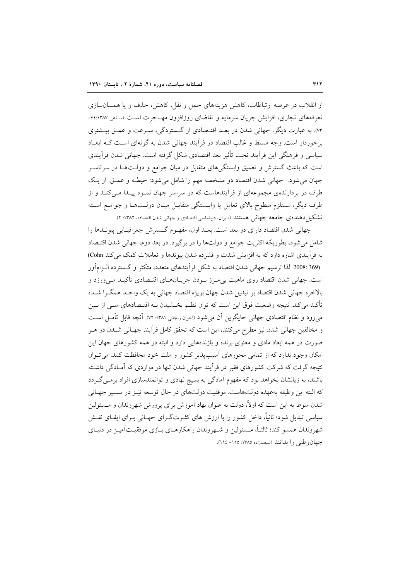از انقلاب در عرصه ارتباطات، کاهش هزینههای حمل و نقل، کاهش، حذف و یا همسانسازی تعرفههای تجاری، افزایش جریان سرمایه و تقاضای روزافزون مهـاجرت اسـت (ساعی ۱۳۸۷: ۷٤-۰۷۳). به عبارت دیگر، جهانی شدن در بعـد اقتـصادی از گـستردگی، سـرعت و عمـق بیـشتری برخوردار است. وجه مسلط و غالب اقتصاد در فرآیند جهانی شدن به گونهای است کـه ابعـاد سیاسی و فرهنگی این فرآیند تحت تأثیر بعد اقتصادی شکل گرفته است. جهانی شدن فرآیندی است که باعث گسترش و تعمیق وابستگیهای متقابل در میان جوامع و دولـتهـا در سرتاسـر جهان مي شود. جهاني شدن اقتصاد دو مشخصه مهم را شامل مي شود: حيطـه و عمـق. از يـک طرف در بردارندهی مجموعهای از فرآیندهاست که در سراسر جهان نمـود پیـدا مـی کنـد و از طرف دیگر، مستلزم سطوح بالای تعامل یا وابـستگی متقابـل میـان دولـتهـا و جوامـع اسـته تشکیل دهنده ی جامعه جهانی هستند («ایران، دیپلماسی اقتصادی و جهانی شدن اقتصاد»، ۱۳۸۲: ۲).

جهاني شدن اقتصاد داراي دو بعد است: بعـد اول، مفهـوم گـسترش جغرافيـايي پيونــدها را شامل می شود، بطوریکه اکثریت جوامع و دولتها را در برگیرد. در بعد دوم، جهانی شدن اقتـصاد به فرآیندی اشاره دارد که به افزایش شدت و فشرده شدن پیوندها و تعاملات کمک میکند Cohn) (369 :2008 لذا ترسيم جهاني شدن اقتصاد به شكل فرأيندهاي متعدد، متكثر و گسترده الـزامأور است. جهاني شدن اقتصاد روي ماهيت بي مـرز بـودن جريــانهــاي اقتــصادي تأكيــد مـي ورزد و بالاخره جهاني شدن اقتصاد بر تبديل شدن جهان بويژه اقتصاد جهاني به يک واحـد همگـرا شـده تأکید میکند. نتیجه وضعیت فوق این است که توان نظـم بخــشیدن بــه اقتــصادهای ملــی از بــین می رود و نظام اقتصادی جهانی جایگزین آن می شود (اخوان زنجانی ۱۳۸۱: ۷۲). آنچه قابل تأمـل اسـت و مخالفین جهانی شدن نیز مطرح میکنند، این است که تحقق کامل فرآیند جهـانی شـدن در هـر صورت در همه ابعاد مادی و معنوی برنده و بازندههایی دارد و البته در همه کشورهای جهان این امکان وجود ندارد که از تمامی محورهای آسیبپذیر کشور و ملت خود محافظت کنند. می توان .<br>نتیجه گرفت که شرکت کشورهای فقیر در فراّیند جهانی شدن تنها در مواردی که اَمـادگی داشـته باشند، به زیانشان نخواهد بود که مفهوم آمادگی به بسیج نهادی و توانمندسازی افراد برمـی گـردد که البته این وظیفه بهعهده دولتهاست. موفقیت دولتهای در حال توسعه نیـز در مـسیر جهـانی شدن منوط به این است که اولاً، دولت به عنوان نهاد آموزش برای پرورش شهروندان و مــسئولین سیاسی تبدیل شود؛ ثانیاً، داخل کشور را با ارزش های کثـرتگـرای جهـانی بـرای ایفـای نقـش شهروندان همسو کند؛ ثالثـاً، مــسئولين و شــهروندان راهکارهــای بــازی موفقيــتآميــز در دنيــای جهان وطني را بدانند (سيف زاده ١٣٨٥: ١١٥- ١١٤).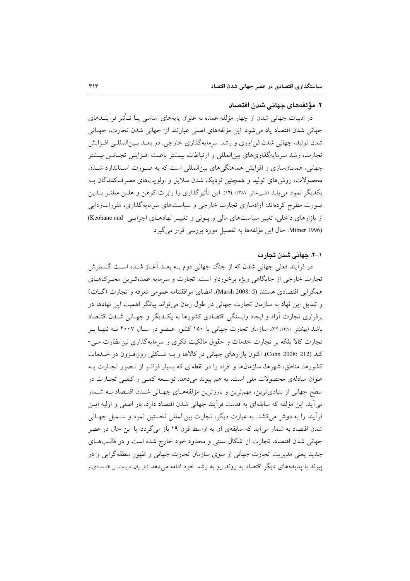#### ٢. مؤلفههای جهانی شدن اقتصاد

در ادبیات جهانی شدن از چهار مؤلفه عمده به عنوان پایههای اساسی یـا تـأثیر فرآینــدهای جهانی شدن اقتصاد یاد میشود. این مؤلفههای اصلی عبارتند از: جهانی شدن تجارت، جهـانی شدن تولید، جهانی شدن فنآوری و رشد سرمایهگذاری خارجی. در بعـد بـینالمللـی افــزایش تجارت، رشد سرمايهگذاريهاي بين|لمللي و ارتباطات بيــشتر باعـث افـزايش تجــانس بيــشتر جهانی، همسان سازی و افزایش هماهنگی های بین المللی است که به صـورت اسـتاندارد شــدن محصولات، روش های تولید و همچنین نزدیک شدن سلایق و اولویتهای مصرفکنندگان بـه یکدیگر نمود می پابد (شیرخانی ۱۳۸۱: ۱۲۵). این تأثیر گذاری را رابرت کوهن و هلــن میلنــر بــدین صورت مطرح کردهاند: آزادسازی تجارت خارجی و سیاستهای سرمایهگذاری، مقرراتزدایی از بازارهای داخلی، تغییر سیاستهای مالی و پـولی و تغییـر نهادهـای اجرایـی Keohane and) Milner 1996). حال این مؤلفهها به تفصیل مورد بررسی قرار می گیرد.

# ۰۱–۲. جهانی شدن تجارت

در فرآیند فعلی جهانی شدن که از جنگ جهانی دوم بـه بعـد آغـاز شـده اسـت گــسترش تجارت خارجی از جایگاهی ویژه برخوردار است. تجارت و سرمایه عمدهترین محـرکهـای همگرایی اقتصادی هستند (Marsh 2008: 5). امضای موافقتنامه عمومی تعرفه و تجارت (گـات) و تبدیل این نهاد به سازمان تجارت جهانی در طول زمان می تواند بیانگر اهمیت این نهادها در برقراری تجارت أزاد و ایجاد وابستگی اقتصادی کشورها به یک<code>Leu</code> و جهـانی شــدن اقتــصاد باشد (بهکیش ۱۳۸۱: ۳۲). سازمان تجارت جهانی با ۱۵۰ کشور عـضو در سـال ۲۰۰۷ نــه تنهـا بـر تجارت کالا بلکه بر تجارت خدمات و حقوق مالکیت فکری و سرمایهگذاری نیز نظارت مـی-کند (Cohn 2008: 212). اکنون بازارهای جهانی در کالاها و بـه شـکلی روزافـزون در خـلـمات کشورها، مناطق، شهرها، سازمانها و افراد را در نقطهای که بسیار فراتبر از تبصور تجبارت بیه عنوان مبادلهي محصولات ملي است، به هم پيوند مي دهد. توسعه كمبي و كيفي تجبارت در سطح جهانی از بنیادیترین، مهمترین و بارزترین مؤلفههـای جهـانی شـدن اقتـصاد بـه شـمار مي آيد. اين مؤلفه كه سابقهاي به قدمت فرآيند جهاني شدن اقتصاد دارد، بار اصلي و اوليه ايــز فراًیند را به دوش میکشد. به عبارت دیگر، تجارت بین|لمللی نخستین نمود و سـمبل جهـانی شدن اقتصاد به شمار میآید که سابقهی آن به اواسط قرن ۱۹ باز میگردد. با این حال در عصر جهانی شدن اقتصاد، تجارت از اشکال سنتی و محدود خود خارج شده است و در قالـبهـای جدید یعنی مدیریت تجارت جهانی از سوی سازمان تجارت جهانی و ظهور منطقهگرایی و در پیوند با پدیدههای دیگر اقتصاد به روند رو به رشد خود ادامه می دهد («اپران، دیپلماسی اقتصادی و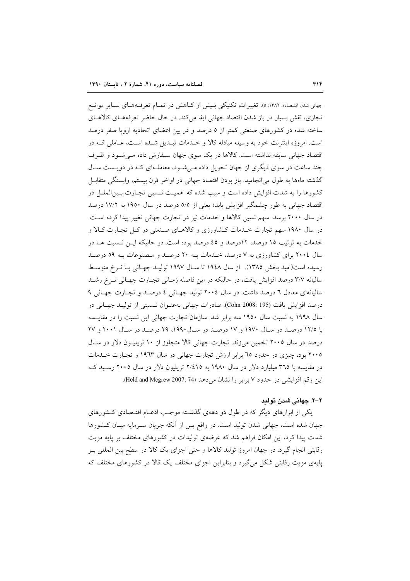جهانی شدن اقتصاد»، ۱۳۸۲: ٥). تغییرات تکنیکی بـیش از کـاهش در تمـام تعرفـههـای سـایر موانـع تجاري، نقش بسيار در باز شدن اقتصاد جهاني ايفا مي كند. در حال حاضر تعرفههـاي كالاهـاي ساخته شده در کشورهای صنعتی کمتر از ٥ درصد و در بین اعضای اتحادیه اروپا صفر درصد است. امروزه اینترنت خود به وسیله مبادله کالا و خـدمات تبـدیل شـده اسـت، عـاملی کـه در اقتصاد جهانی سابقه نداشته است. کالاها در یک سوی جهان سـفارش داده مـی شـود و ظـرف چند ساعت در سوی دیگری از جهان تحویل داده مـی شـود، معاملـهای کـه در دویـست سـال گذشته ماهها به طول می|نجامید. باز بودن اقتصاد جهانی در اواخر قرن بیستم، وابستگی متقابـل کشورها را به شدت افزایش داده است و سبب شده که اهمیـت نـسبی تجـارت بـین|لملــل در اقتصاد جهانی به طور چشمگیر افزایش یابد؛ یعنی از ٥/٥ درصد در سال ١٩٥٠ به ١٧/٢ درصد در سال ۲۰۰۰ برسد. سهم نسبی کالاها و خدمات نیز در تجارت جهانی تغییر پیدا کرده است. در سال ۱۹۸۰ سهم تجارت خـدمات كـشاورزي و كالاهـاي صـنعتي در كـل تجـارت كـالا و خدمات به ترتیب ١٥ درصد، ١٢درصد و ٤٥ درصد بوده است. در حاليكه ايـن نـسبت هـا در سال ۲۰۰٤ برای کشاورزی به ۷ درصد، خـدمات بـه ۲۰ درصـد و مـصنوعات بـه ٥٩ درصـد رسیده است(امید بخش ۱۳۸۵). از سال ۱۹٤۸ تا سـال ۱۹۹۷ تولیـد جهـانی بـا نـرخ متوسـط سالیانه ۳/۷ درصد افزایش یافت، در حالیکه در این فاصله زمـانی تجـارت جهـانی نــرخ رشــد سالیانهای معادل ٦ درصد داشت. در سال ٢٠٠٤ تولید جهانی ٤ درصد و تجارت جهانی ٩ درصد افزايش يافت (Cohn 2008: 195). صادرات جهاني به عنوان نسبتي از توليـد جهـاني در سال ۱۹۹۸ به نسبت سال ۱۹۵۰ سه برابر شد. سازمان تجارت جهانی این نسبت را در مقایـسه با ۱۲/۵ درصد در سال ۱۹۷۰ و ۱۷ درصد در سال ۱۹۹۰، ۲۹ درصد در سال ۲۰۰۱ و ۲۷ درصد در سال ۲۰۰۵ تخمین میزند. تجارت جهانی کالا متجاوز از ۱۰ تریلیـون دلار در سـال ۲۰۰۵ بود، چیزی در حدود ۲۵ برابر ارزش تجارت جهانی در سال ۱۹۶۳ و تجـارت خـدمات در مقایسه با ۳٦٥ میلیارد دلار در سال ۱۹۸۰ به ۲/٤١٥ تریلیون دلار در سال ۲۰۰۵ رسـید ک این رقم افزایشی در حدود ۷ برابر را نشان می دهد (Held and Mcgrew 2007: 74).

### ۲–۲. جهانی شدن تولید

یکی از ابزارهای دیگر که در طول دو دههی گذشته موجب ادغـام اقتـصادی کـشورهای جهان شده است، جهانی شدن تولید است. در واقع پس از آنکه جریان سـرمایه میـان کــشورها شدت پیدا کرد، این امکان فراهم شد که عرضهی تولیدات در کشورهای مختلف بر پایه مزیت رقابتی انجام گیرد. در جهان امروز تولید کالاها و حتی اجزای یک کالا در سطح بین المللی بـر پایهی مزیت رقابتی شکل میگیرد و بنابراین اجزای مختلف یک کالا در کشورهای مختلف که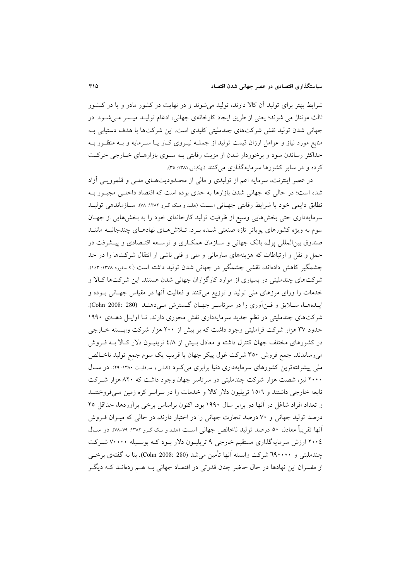شرایط بهتر برای تولید آن کالا دارند، تولید میشوند و در نهایت در کشور مادر و یا در کشور ثالث مونتاژ می شوند؛ یعنی از طریق ایجاد کارخانهی جهانی، ادغام تولیـد میـسر مـی شـود. در جهانی شدن تولید نقش شرکتهای چندملیتی کلیدی است. این شرکتها با هدف دستیابی بـه منابع مورد نیاز و عوامل ارزان قیمت تولید از جملــه نیــروی کــار یــا ســرمایه و بــه منظــور بــه حداکثر رساندن سود و برخوردار شدن از مزیت رقابتی بـه سـوی بازارهـای خـارجی حرکـت کرده و در سایر کشورها سرمایهگذاری می کنند (بهکیش،۱۳۸۱: ۳۵).

در عصر اینترنت، سرمایه اعم از تولیدی و مالی از محـدودیتهـای ملـی و قلمرویـی آزاد شده است؛ در حالی که جهانی شدن بازارها به حدی بوده است که اقتصاد داخلبی مجبور بـه تطابق دایمی خود با شرایط رقابتی جهانی است (هلد و مک گرو ۱۳۸۲: ۷۸). سازماندهی تولیـد سرمایهداری حتی بخشهایی وسیع از ظرفیت تولید کارخانهای خود را به بخشهایی از جهـان سوم به ویژه کشورهای پویاتر تازه صنعتی شـده بـرد. تـلاش هـای نهادهـای چندجانبـه ماننـد صندوق بین|لمللی پول، بانک جهانی و سـازمان همکـاری و توسـعه اقتـصادی و پیــشرفت در حمل و نقل و ارتباطات که هزینههای سازمانی و ملی و فنی ناشی از انتقال شرکتها را در حد چشمگیر کاهش دادهاند، نقشی چشمگیر در جهانی شدن تولید داشته است (آکسفورد ۱۳۷۸: ۱٤۳). شرکتهای چندملیتی در بسیاری از موارد کارگزاران جهانی شدن هستند. این شرکتها کالا و خدمات را ورای مرزهای ملی تولید و توزیع میکنند و فعالیت آنها در مقیاس جهـانی بـوده و ايـدههـا، سـلايق و فـن آوري را در سرتاسـر جهـان گـسترش مـيدهنـد (Cohn 2008: 280). شرکتهای چندملیتی در نظم جدید سرمایهداری نقش محوری دارند. تـا اوایـل دهـهی ۱۹۹۰ حدود ۳۷ هزار شرکت فراملیتی وجود داشت که بر بیش از ۲۰۰ هزار شرکت وابسته خبارجی در کشورهای مختلف جهان کنترل داشته و معادل بـیش از ٤/٨ تریلیـون دلار کـالا بـه فـروش میرساندند. جمع فروش ۳۵۰ شرکت غول پیکر جهان با قریب یک سوم جمع تولید ناخـالص ملی پیشرفتهترین کشورهای سرمایهداری دنیا برابری می کرد (کیلی و مارفلیت ۱۳۸۰: ۲۹). در سال ۲۰۰۰ نیز، شصت هزار شرکت چندملیتی در سرتاسر جهان وجود داشت که ۸۲۰ هزار شـرکت تابعه خارجی داشتند و ۱۵/۹ تریلیون دلار کالا و خدمات را در سراسر کره زمین مبی فروختنــد و تعداد افراد شاغل در آنها دو برابر سال ۱۹۹۰ بود. اکنون براساس برخی بر آوردها، حداقل ۲۵ درصد تولید جهانی و ۷۰ درصد تجارت جهانی را در اختیار دارند، در حالی که میـزان فـروش آنها تقریباً معادل ٥٠ درصد تولید ناخالص جهانی است (هدد و مک گـرو ١٣٨٢: ٧٩-٧٨). در ســال ۲۰۰٤ ارزش سرمایهگذاری مستقیم خارجی ۹ تریلیـون دلار بـود کـه بوسـیله ۷۰۰۰۰ شـرکت چندمليتي و ٦٩٠٠٠٠ شركت وابسته آنها تأمين مي شد (Cohn 2008: 280). بنا به گفتهي برخي از مفسران این نهادها در حال حاضر چنان قدرتی در اقتصاد جهانی بـه هــم زدهانــد کـه دیگــر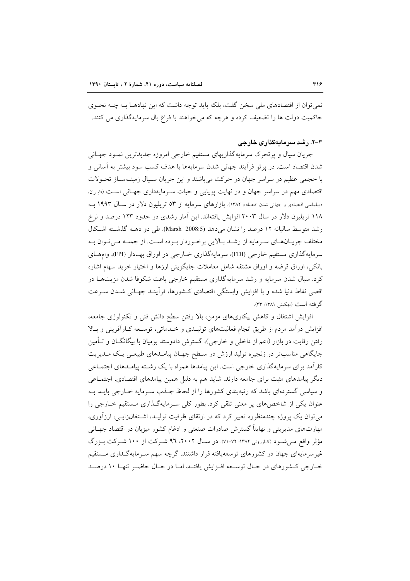نمی توان از اقتصادهای ملی سخن گفت، بلکه باید توجه داشت که این نهادهــا بــه چــه نحــوی حاکمیت دولت ها را تضعیف کرده و هرچه که می خواهند با فراغ بال سرمایهگذاری می کنند.

### ۳-۲. رشد سرمایهگذاری خارجی

جریان سیال و پرتحرک سرمایهگذاریهای مستقیم خارجی امروزه جدیدترین نمـود جهـانی شدن اقتصاد است. در پرتو فرأيند جهاني شدن سرمايهها با هدف كسب سود بيشتر به آساني و با حجمی عظیم در سراسر جهان در حرکت میباشند و این جریان سـیال زمینـهسـاز تحـولات اقتصادی مهم در سراسر جهان و در نهایت پویایی و حیات سـرمایهداری جهـانی اسـت («بران، دیپلماسی اقتصادی و جهانی شدن اقتصاد»، ۱۳۸۲). بازارهای سرمایه از ۵۳ تریلیون دلار در سال ۱۹۹۳ بـه ۱۱۸ تریلیون دلار در سال ۲۰۰۳ افزایش یافتهاند. این آمار رشدی در حدود ۱۲۳ درصد و نرخ رشد متوسط سالیانه ١٢ درصد را نشان می دهد (Marsh 2008:5). طی دو دهـه گذشته اشكال مختلف جريـانهـاي سـرمايه از رشـد بـالايي برخـوردار بـوده اسـت. از جملـه مـيتـوان بـه سرمايه گذاري مستقيم خارجي (FDI)، سرمايه گذاري خــارجي در اوراق بهــادار (FPI)، وامهــاي بانکی، اوراق قرضه و اوراق مشتقه شامل معاملات جایگزینی ارزها و اختیار خرید سهام اشاره کرد. سیال شدن سرمایه و رشد سرمایهگذاری مستقیم خارجی باعث شکوفا شدن مزیتهـا در اقصی نقاط دنیا شده و با افزایش وابستگی اقتصادی کـشورها، فرآینـد جهـانی شـدن سـرعت گر فته است (بهکیش ۱۳۸۱: ۳۳).

افزایش اشتغال و کاهش بیکاریهای مزمن، بالا رفتن سطح دانش فنی و تکنولوژی جامعه، افزایش درآمد مردم از طریق انجام فعالیتهای تولیـدی و خـدماتی، توسـعه کـارآفرینی و بـالا رفتن رقابت در بازار (اعم از داخلی و خارجی)، گسترش دادوستد بومیان با بیگانگــان و تــأمین جایگاهی مناسبتر در زنجیره تولید ارزش در سطح جهـان پیامـدهای طبیعـی یـک مـدیریت کارآمد برای سرمایهگذاری خارجی است. این پیامدها همراه با یک رشته پیامـدهای اجتمـاعی دیگر پیامدهای مثبت برای جامعه دارند. شاید هم به دلیل همین پیامدهای اقتصادی، اجتمـاعی و سیاسی گستردهای باشد که رتبهبندی کشورها را از لحاظ جــذب ســرمایه خــارجی بایــد بــه عنوان یکی از شاخص های پر معنی تلقی کرد. بطور کلی سیرمایهگیذاری مستقیم خیارجی را میتوان یک پروژه چندمنظوره تعبیر کرد که در ارتقای ظرفیت تولیـد، اشــتغال(ایــی، ارزآوری، مهارتهای مدیریتی و نهایتاً گسترش صادرات صنعتی و ادغام کشور میزبان در اقتصاد جهـانی مؤثر واقع مبي شـود (کـازروني ١٣٨٢: ٧٢-٧١). در سـال ٢٠٠٢، ٩٦ شـرکت از ١٠٠ شـرکت بـزرگ غیرسرمایهای جهان در کشورهای توسعهیافته قرار داشتند. گرچه سهم سـرمایهگـذاری مـستقیم خبارجي كشورهاي در حبال توسيعه افيزايش يافتيه، اميا در حبال حاضير تنهيا ١٠ درصيد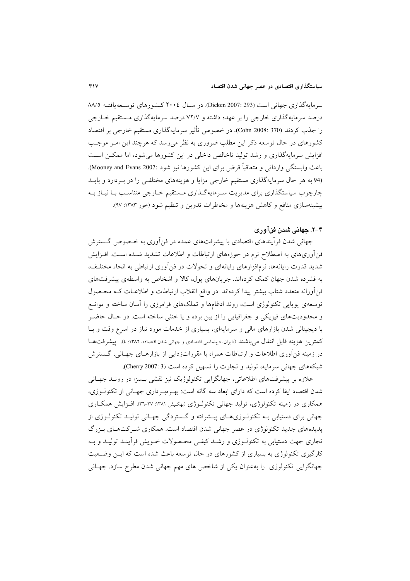سرمايهگذاري جهاني است (Dicken 2007: 293). در سـال ٢٠٠٤ كـشورهاي توسـعهيافتــه ٨٨/٥ درصد سرمایهگذاری خارجی را بر عهده داشته و ۷۲/۷ درصد سرمایهگذاری مستقیم خــارجی را جذب كردند (Cohn 2008: 370). در خصوص تأثير سرمايه گذاري مستقيم خارجي بر اقتصاد کشورهای در حال توسعه ذکر این مطلب ضروری به نظر می رسد که هرچند این امـر موجـب افزایش سرمایهگذاری و رشد تولید ناخالص داخلی در این کشورها می شود، اما ممکــن اسـت باعث وابستگي وارداتي و متعاقباً قرض براي اين كشورها نيز شود :Mooney and Evans 2007). (94 به هر حال سرمایهگذاری مستقیم خارجی مزایا و هزینههای مختلفی را در بردارد و بایـد چارچوب سیاستگذاری برای مدیریت سـرمایهگـذاری مـستقیم خـارجی متناسـب بـا نیــاز بــه بیشینهسازی منافع و کاهش هزینهها و مخاطرات تدوین و تنظیم شود (خور ۱۳۸۳: ۹۷).

# ۴–۲. جهاني شدن فنآوري

جهانی شدن فرأیندهای اقتصادی با پیشرفتهای عمده در فن|وری به خـصوص گـسترش فن آوریهای به اصطلاح نرم در حوزههای ارتباطات و اطلاعات تشدید شـده اسـت. افـزایش شدید قدرت رایانهها، نرمافزارهای رایانهای و تحولات در فن آوری ارتباطی به انحاء مختلف، به فشرده شدن جهان کمک کردهاند. جریانهای پول، کالا و اشخاص به واسطهی پیشرفتهای فن[ورانه متعدد شتاب بیشتر پیدا کردهاند. در واقع انقلاب ارتباطات و اطلاعـات کـه محـصول توسعه ی پویایی تکنولوژی است، روند ادغامها و تملکهای فرامرزی را آسان ساخته و موانـع و محدودیتهای فیزیکی و جغرافیایی را از بین برده و یا خنثی ساخته است. در حـال حاضـر با دیجیتالی شدن بازارهای مالی و سرمایهای، بسیاری از خدمات مورد نیاز در اسرع وقت و بـا كمترين هزينه قابل انتقال مىباشند («ايران، ديبلماسى اقتصادى و جهانى شدن اقتصاد»، ١٣٨٢: ٤). پيشرفتهـا در زمینه فن[وری اطلاعات و ارتباطات همراه با مقرراتزدایی از بازارهـای جهـانی، گــسترش شبکههای جهانی سرمایه، تولید و تجارت را تسهیل کرده است (Cherry 2007: 3).

علاوه بر پیشرفتهای اطلاعاتی، جهانگرایی تکنولوژیک نیز نقشی بـسزا در رونـد جهـانی شدن اقتصاد ایفا کرده است که دارای ابعاد سه گانه است: بهـروبـرداری جهـانی از تکنولــوژی، همکاري در زمينه تکنولوژي، توليد جهاني تکنولـوژي (پهڪيش ١٣٨١: ٣٧-٣٦). افـزايش همکـاري جهانی برای دستیابی بـه تکنولـوژیهـای پیــشرفته و گــستردگی جهـانی تولیـد تکنولـوژی از پدیدههای جدید تکنولوژی در عصر جهانی شدن اقتصاد است. همکاری شـرکتهـای بـزرگ تجاري جهت دستيابي به تكنولـوژي و رشـد كيفـي محـصولات خــويش فرأينـد توليـد و بــه کارگیری تکنولوژی به بسیاری از کشورهای در حال توسعه باعث شده است که ایــن وضـعیت جهانگرایی تکنولوژی را بهعنوان یکی از شاخص های مهم جهانی شدن مطرح سازد. جهـانی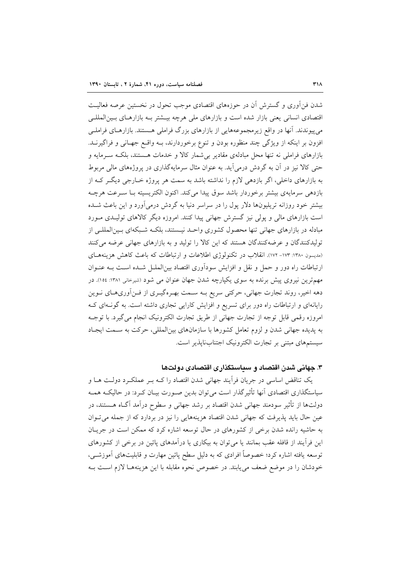شدن فن[وری و گسترش آن در حوزههای اقتصادی موجب تحول در نخستین عرصه فعالیت اقتصادی انسانی یعنی بازار شده است و بازارهای ملی هرچه بیـشتر بـه بازارهـای بـین|لمللـی می پیوندند. آنها در واقع زیرمجموعههایی از بازارهای بزرگ فراملی هستند. بازارهـای فراملـی افزون بر اینکه از ویژگی چند منظوره بودن و تنوع برخوردارند، بــه واقــع جهـانی و فراگیرنــد. بازارهای فراملی نه تنها محل مبادلهی مقادیر بی شمار کالا و خدمات هستند، بلکـه سـرمایه و حتی کالا نیز در آن به گردش درمی آید. به عنوان مثال سرمایهگذاری در پروژههای مالی مربوط به بازارهای داخلی، اگر بازدهی لازم را نداشته باشد به سمت هر پروژه خـارجی دیگـر کـه از بازدهی سرمایهی بیشتر برخوردار باشد سوق پیدا می کند. اکنون الکتریسیته بــا ســرعت هرچــه بیشتر خود روزانه تریلیونها دلار پول را در سراسر دنیا به گردش درمیآورد و این باعث شـده است بازارهای مالی و پولی نیز گسترش جهانی پیدا کنند. امروزه دیگر کالاهای تولیـدی مـورد مبادله در بازارهای جهانی تنها محصول کشوری واحـد نیـستند، بلکـه شـبکهای بـین|لمللـی از تولیدکنندگان و عرضهکنندگان هستند که این کالا را تولید و به بازارهای جهانی عرضه میکنند (مدیسون ۱۳۸۰: ۱۷۳- ۱۷۲). انقلاب در تکنولوژی اطلاعات و ارتباطات که باعث کاهش هزینههـای ارتباطات راه دور و حمل و نقل و افزایش سودآوری اقتصاد بینالملـل شـده اسـت بـه عنـوان مهم ترین نیروی پیش برنده به سوی یکپارچه شدن جهان عنوان می شود (شیرخانی ۱۳۸۱: ۱۰۵۶). در دهه اخیر، روند تجارت جهانی، حرکتی سریع بـه سـمت بهـرهگیـری از فـنآوریهـای نـوین رایانهای و ارتباطات راه دور برای تسریع و افزایش کارایی تجاری داشته است. به گونهای ک امروزه رقمی قابل توجه از تجارت جهانی از طریق تجارت الکترونیک انجام میگیرد. با توجـه به پدیده جهانی شدن و لزوم تعامل کشورها با سازمانهای بینالمللی، حرکت به سـمت ایجـاد سیستمهای مبتنی بر تجارت الکترونیک اجتنابناپذیر است.

# ۳. جهانی شدن اقتصاد و سیاستگذاری اقتصادی دولتها

یک تناقض اساسی در جریان فراّیند جهانی شدن اقتصاد را کـه بـر عملکـرد دولـت هـا و سیاستگذاری اقتصادی آنها تأثیرگذار است می توان بدین صـورت بیـان کـرد: در حالیکـه همـه دولتها از تأثیر سودمند جهانی شدن اقتصاد بر رشد جهانی و سطوح درآمد آگIه هــستند، در عین حال باید پذیرفت که جهانی شدن اقتصاد هزینههایی را نیز در بردارد که از جمله میتوان به حاشیه رانده شدن برخی از کشورهای در حال توسعه اشاره کرد که ممکن است در جریـان این فرآیند از قافله عقب بمانند یا می توان به بیکاری یا درآمدهای پائین در برخی از کشورهای توسعه یافته اشاره کرد؛ خصوصاً افرادی که به دلیل سطح پائین مهارت و قابلیتهای آموزشـی، خودشان را در موضع ضعف می پابند. در خصوص نحوه مقابله با این هزینههـا لازم اسـت بـه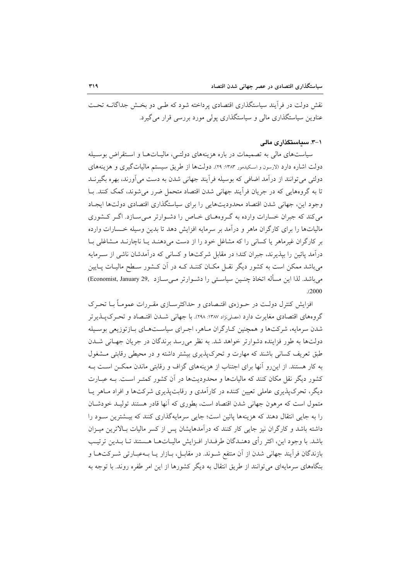نقش دولت در فرأیند سیاستگذاری اقتصادی پرداخته شود که طبی دو بخـش جداگانــه تحــت عناوین سیاستگذاری مالی و سیاستگذاری یولی مورد بررسی قرار می گیرد.

#### ۰۱–۳. سیاستگذار ی مالی

سیاستهای مالی به تصمیمات در باره هزینههای دولتـی، مالیـاتهـا و اسـتقراض بوسـیله دولت اشاره دارد (لارسون و اسکیدمور ۱۳۸۳: ۲۹). دولتها از طریق سیستم مالیاتگیری و هزینههای دولتی می توانند از درآمد اضافی که بوسیله فرآیند جهانی شدن به دست می آورند، بهره بگیرنــد تا به گروههایی که در جریان فرآیند جهانی شدن اقتصاد متحمل ضرر می شوند، کمک کنند. بـا وجود این، جهانی شدن اقتصاد محدودیتهایی را برای سیاستگذاری اقتصادی دولتها ایجاد می کند که جبران خسارات وارده به گـروههـای خـاص را دشـوارتر مـی سـازد. اگـر کـشوری مالیاتها را برای کارگران ماهر و درآمد بر سرمایه افزایش دهد تا بدین وسیله خـسارات وارده بر کارگران غیرماهر یا کسانی را که مشاغل خود را از دست می دهنـد یـا ناچارنـد مـشاغلی بـا درآمد یائین را بیذیرند، جبران کند؛ در مقابل شرکتها و کسانی که درآمدشان ناشی از سـرمایه میباشد ممکن است به کشور دیگر نقـل مکـان کننـد کــه در آن کــشور ســطح ماليــات پــايين مى باشد. لذا اين مسأله اتخاذ چنـين سياسـتى را دشـوارتر مـىسـازد (Economist, January 29  $(2000)$ 

افزایش کنترل دولت در حـوزهی اقتـصادی و حداکثرسـازی مقـررات عمومـاً بـا تحـرک گروههای اقتصادی مغایرت دارد (مصلی:ژاد ۱۳۸۷: ۲۹۸). با جهانی شــدن اقتــصاد و تحـرک پــذیر تر شدن سرمایه، شرکتها و همچنین کبارگران مـاهر، اجـرای سیاسـتهـای بـازتوزیعی بوسـیله دولتها به طور فزاینده دشوارتر خواهد شد. به نظر می رسد برندگان در جریان جهـانی شــدن طبق تعریف کسانی باشند که مهارت و تحرک پذیری بیشتر داشته و در محیطی رقابتی مشغول به کار هستند. از این رو آنها برای اجتناب از هزینههای گزاف و رقابتی ماندن ممکـن اسـت بـه کشور دیگر نقل مکان کنند که مالیاتها و محدودیتها در آن کشور کمتـر اسـت. بـه عبــارت دیگر، تحرک پذیری عاملی تعیین کننده در کارآمدی و رقابت پذیری شرکتها و افراد مـاهر پــا متمول است که مرهون جهانی شدن اقتصاد است، بطوری که آنها قادر هستند تولیـد خودشـان را به جایی انتقال دهند که هزینهها پائین است؛ جایی سرمایهگذاری کنند که بیـشترین سـود را داشته باشد و کارگران نیز جایی کار کنند که درآمدهایشان پس از کسر مالیات بـالاترین میـزان باشد. با وجود این، اکثر رأی دهنـدگان طرفـدار افـزایش مالیـاتهـا هـستند تـا بـدین ترتیـب بازندگان فرآیند جهانی شدن از آن منتفع شـوند. در مقابـل، بـازار یـا بـهعبـارتی شـرکتهـا و بنگاههای سرمایهای می توانند از طریق انتقال به دیگر کشورها از این امر طفره روند. با توجه به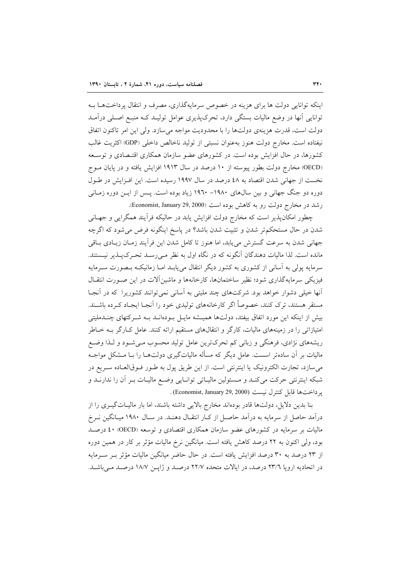اینکه توانایی دولت ها برای هزینه در خصوص سرمایهگذاری، مصرف و انتقال پرداختها ب توانایی آنها در وضع مالیات بستگی دارد، تحرک پذیری عوامل تولیـد کـه منبـع اصـلی درآمـد دولت است، قدرت هزینهی دولتها را با محدودیت مواجه میسازد. ولی این امر تاکنون اتفاق نيفتاده است. مخارج دولت هنوز به عنوان نسبتي از توليد ناخالص داخلي (GDP) اكثريت غالب کشورها، در حال افزایش بوده است. در کشورهای عضو سازمان همکاری اقتـصادی و توسـعه (OECD) مخارج دولت بطور پیوسته از ١٠ درصد در سال ١٩١٣ افزایش یافته و در پایان مـوج نخست از جهانی شدن اقتصاد به ٤٨ درصد در سال ١٩٩٧ رسیده است. این افـزایش در طـول دوره دو جنگ جهانی و بین سال های ۱۹۸۰– ۱۹۲۰ زیاد بوده است. پـس از ایــن دوره زمــانی رشد در مخارج دولت رو به كاهش بوده است (Economist, January 29, 2000).

چطور امکانپذیر است که مخارج دولت افزایش پابد در حالیکه فرآیند همگرایی و جهـانی شدن در حال مستحکم تر شدن و تثبیت شدن باشد؟ در پاسخ اینگونه فرض می شود که اگرچه جهانی شدن به سرعت گسترش می یابد، اما هنوز تا کامل شدن این فرایند زمـان زیـادی بـاقی مانده است. لذا مالیات دهندگان آنگونه که در نگاه اول به نظر مـیرسـد تحـرکپـذیر نیـستند. سرمایه پولی به اسانی از کشوری به کشور دیگر انتقال می،یابـد امـا زمانیکـه بـصورت سـرمایه فیزیکی سرمایهگذاری شود؛ نظیر ساختمانها، کارخانهها و ماشین آلات در این صـورت انتقـال أنها خیلی دشوار خواهد بود. شرکتهای چند ملیتی به آسانی نمی توانند کشوریرا که در آنجا مستقر هستند، ترک کنند، خصوصاً اگر کارخانههای تولیدی خود را آنجـا ایجـاد کـرده باشـند. بیش از اینکه این مورد اتفاق بیفتد، دولتها همیـشه مایـل بـودهانــد بــه شــرکتهای چنــدملیتی امتیازاتی را در زمینههای مالیات، کارگر و انتقالهای مستقیم ارائه کنند. عامل کـارگر بــه خــاطر ریشههای نژادی، فرهنگی و زبانی کم تحرکترین عامل تولید محسوب مـیشـود و لـذا وضـع مالیات بر آن سادهتر اسست. عامل دیگر که مسأله مالیاتگیری دولتهـا را بـا مــشکل مواجــه می سازد، تجارت الکترونیک یا اینترنتی است. از این طریق پول به طـور فـوقالعـاده سـریع در شبکه اینترنتی حرکت میکنـد و مـسئولین مالیـاتی توانـایی وضـع مالیـات بـر آن را ندارنـد و ير داختها قابل كنترل نيست (Economist, January 29, 2000).

بنا بدین دلایل، دولتها قادر بودهاند مخارج بالایی داشته باشند، اما بار مالیـاتگیـری را از درآمد حاصل از سرمایه به درآمد حاصـل از کـار انتقـال دهنـد. در سـال ۱۹۸۰ میـانگین نــرخ مالیات بر سرمایه در کشورهای عضو سازمان همکاری اقتصادی و توسعه (OECD) ٤٠ درصـد بود، ولی اکنون به ۲۲ درصد کاهش یافته است. میانگین نرخ مالیات مؤثر بر کار در همین دوره از ۲۳ درصد به ۳۰ درصد افزایش یافته است. در حال حاضر میانگین مالیات مؤثر بـر سـرمایه در اتحادیه اروپا ٢٣/٦ درصد، در ایالات متحده ٢٢/٧ درصد و ژاپن ١٨/٧ درصد میباشد.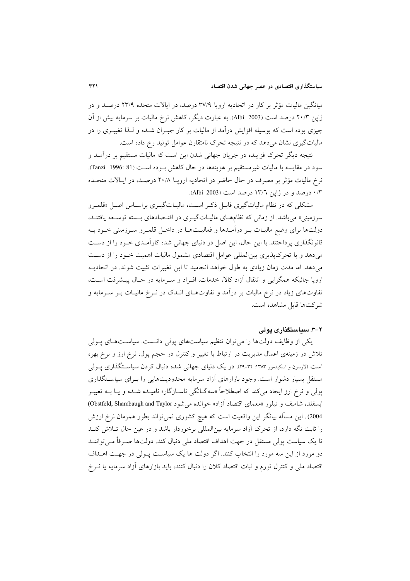میانگین مالیات مؤثر بر کار در اتحادیه اروپا ۳۷/۹ درصد، در ایالات متحده ۲۳/۹ درصـد و در ژاپن ۲۰/۳ درصد است (Albi 2003). به عبارت دیگر، کاهش نرخ مالیات بر سرمایه بیش از آن چیزی بوده است که بوسیله افزایش درآمد از مالیات بر کار جبـران شــده و لــذا تغییــری را در مالیاتگیری نشان می دهد که در نتیجه تحرک نامتقارن عوامل تولید رخ داده است.

نتیجه دیگر تحرک فزاینده در جریان جهانی شدن این است که مالیات مستقیم بر درآمـد و سود در مقايسه با ماليات غيرمستقيم بر هزينهها در حال كاهش بوده است (81 :1996 Tanzi). نرخ ماليات مؤثر بر مصرف در حال حاضر در اتحاديه ارويــا ٢٠/٨ درصـد، در ايـالات متحـده ۰/۳ درصد و در ژاپن ۱۳/٦ درصد است (Albi 2003).

مشکلی که در نظام مالیاتگیری قابـل ذکـر اسـت، مالیـاتگیــری براسـاس اصـل «قلمــرو سرزمینی» می باشد. از زمانی که نظامهای مالیـاتگیـری در اقتـصادهای بـسته توسـعه یافتنـد، دولتها برای وضع مالیـات بـر درآمـدها و فعالیــتهــا در داخــل قلمــرو ســرزمینی خــود بــه قانونگذاری پرداختند. با این حال، این اصل در دنیای جهانی شده کارآمـدی خــود را از دســت میدهد و با تحرکپذیری بین المللی عوامل اقتصادی مشمول مالیات اهمیت خـود را از دسـت می دهد. اما مدت زمان زیادی به طول خواهد انجامید تا این تغییرات تثبیت شوند. در اتحادیـه اروپا جائیکه همگرایی و انتقال آزاد کالا، خدمات، افـراد و سـرمایه در حـال پیـشرفت اسـت، تفاوتهای زیاد در نرخ مالیات بر درآمد و تفاوتهـای انـدک در نـرخ مالیـات بـر سـرمایه و شركتها قابل مشاهده است.

# ۲–۳. سیاستگذاری یولی

یکی از وظایف دولتها را می توان تنظیم سیاستهای پولی دانست. سیاستهای پولی تلاش در زمینهی اعمال مدیریت در ارتباط با تغییر و کنترل در حجم پول، نرخ ارز و نرخ بهره است (لارسون و اسکیدمور ۱۳۸۳: ۳۲-۲۹). در یک دنیای جهانی شده دنبال کردن سیاستگذاری پــولی مستقل بسیار دشوار است. وجود بازارهای آزاد سرمایه محدودیتهایی را بـرای سیاسـتگذاری یولی و نرخ ارز ایجاد می کند که اصطلاحاً «سهگـانگی ناسـازگار» نامیــده شــده و یــا بــه تعبیــر ابسفلد، شاميف و تيلور «معماي اقتصاد آزاد» خوانده مي شود Obstfeld, Shambaugh and Taylor) 2004). این مسأله بیانگر این واقعیت است که هیچ کشوری نمیتواند بطور همزمان نرخ ارزش را ثابت نگه دارد، از تحرک آزاد سرمایه بینالمللی برخوردار باشد و در عین حال تـلاش کنـد تا یک سیاست یولی مستقل در جهت اهداف اقتصاد ملی دنبال کند. دولتها صـرفاً مـی تواننـد دو مورد از این سه مورد را انتخاب کنند. اگر دولت ها یک سیاست پـولی در جهـت اهــداف اقتصاد ملي و كنترل تورم و ثبات اقتصاد كلان را دنبال كنند، بايد بازارهاي أزاد سرمايه يا نـرخ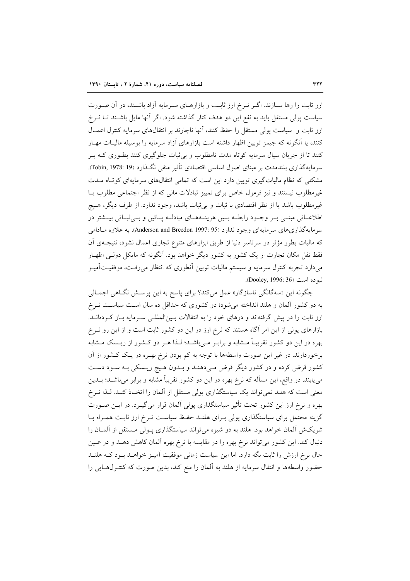ارز ثابت را رها سـازند. اگـر نـرخ ارز ثابـت و بازارهـاى سـرمايه آزاد باشـند، در آن صـورت سیاست پولی مستقل باید به نفع این دو هدف کنار گذاشته شود. اگر آنها مایل باشـند تـا نــرخ ارز ثابت و سیاست پولی مستقل را حفظ کنند، آنها ناچارند بر انتقالهای سرمایه کنترل اعمـال کنند، یا اَنگونه که جیمز توبین اظهار داشته است بازارهای اَزاد سرمایه را بوسیله مالیـات مهـار کنند تا از جریان سیال سرمایه کوتاه مدت نامطلوب و بی ثبات جلوگیری کنند بطـوری کـه بـر سرمايهگذاري بلندمدت بر مبناي اصول اساسي اقتصادي تأثير منفي نگـذارد (Tobin, 1978: 19). مشکلی که نظام مالیاتگیری توبین دارد این است که تمامی انتقالهای سرمایهای کوتاه مـدت غیرمطلوب نیستند و نیز فرمول خاص برای تمییز تبادلات مالی که از نظر اجتماعی مطلوب پـا غیرمطلوب باشد یا از نظر اقتصادی با ثبات و بی ثبات باشد، وجود ندارد. از طرف دیگر، هـیچ اطلاعــاتي مبنــي بــر وجــود رابطــه بــين هزينــههــاي مبادلــه پــائين و بــي ثبــاتي بيــشتر در سرمايهگذاري هاي سرمايهاي وجود ندارد (Anderson and Breedon 1997: 95). به علاوه مـادامي که مالیات بطور مؤثر در سرتاسر دنیا از طریق ابزارهای متنوع تجاری اعمال نشود، نتیجـهی اَن فقط نقل مکان تجارت از یک کشور به کشور دیگر خواهد بود. آنگونه که مایکل دولـی اظهـار میدارد تجربه کنترل سرمایه و سیستم مالیات توبین آنطوری که انتظار میرفت، موفقیـتآمیـز نبو ده است (Dooley, 1996: 36).

چگونه این «سهگانگی ناسازگار» عمل میکند؟ برای پاسخ به این پرسـش نگـاهی اجمـالی به دو کشور آلمان و هلند انداخته میشود؛ دو کشوری که حداقل ده سال است سیاست نـرخ ارز ثابت را در پیش گرفتهاند و درهای خود را به انتقالات بـین|لمللـی سـرمایه بـاز کـردهانــد. بازارهای پولی از این امر آگاه هستند که نرخ ارز در این دو کشور ثابت است و از این رو نـرخ بهره در این دو کشور تقریبـاً مــشابه و برابــر مــیباشــد؛ لــذا هــر دو کــشور از ریــسک مــشابه برخوردارند. در غیر این صورت واسطهها با توجه به کم بودن نرخ بهـره در یـک کــشور از آن کشور قرض کرده و در کشور دیگر قرض میدهنـد و بـدون هـیچ ریـسکی بـه سـود دسـت می یابند. در واقع، این مسأله که نرخ بهره در این دو کشور تقریباً مشابه و برابر میباشــد؛ بــدین معنی است که هلند نمی تواند یک سیاستگذاری پولی مستقل از آلمان را اتخـاذ کنـد. لـذا نـرخ بهره و نرخ ارز این کشور تحت تأثیر سیاستگذاری پولی آلمان قرار می گیـرد. در ایــن صــورت گزینه محتمل برای سیاستگذاری پولی بـرای هلنـد حفـظ سیاسـت نـرخ ارز ثابـت همـراه بـا شریکش آلمان خواهد بود. هلند به دو شیوه میتواند سیاستگذاری پـولی مـستقل از آلمـان را دنبال کند. این کشور میتواند نرخ بهره را در مقایسه با نرخ بهره آلمان کاهش دهـد و در عـین حال نرخ ارزش را ثابت نگه دارد. اما این سیاست زمانی موفقیت آمیـز خواهــد بـود کـه هلنــد حضور واسطهها و انتقال سرمايه از هلند به آلمان را منع كند، بدين صورت كه كنتـرلهـايي را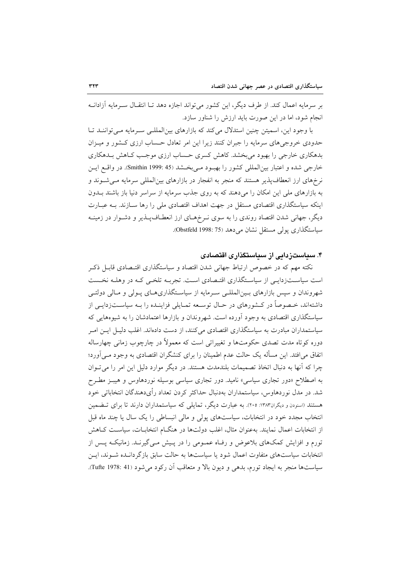بر سرمايه اعمال كند. از طرف ديگر، اين كشور مي تواند اجازه دهد تـا انتقـال سـرمايه آزادانــه انجام شود، اما در این صورت باید ارزش را شناور سازد.

با وجود این، اسمیتن چنین استدلال میکند که بازارهای بین المللـی سـرمایه مـی تواننـد تـا حدودی خروجی های سرمایه را جبران کنند زیرا این امر تعادل حساب ارزی کـشور و میـزان بدهکاری خارجی را بهبود می بخشد. کاهش کسری حساب ارزی موجب کـاهش بـدهکاری خارجي شده و اعتبار بين المللي كشور را بهبود مـي بخـشد (45 :Smithin 1999). در واقبع ايـن نرخهای ارز انعطاف پذیر هستند که منجر به انفجار در بازارهای بینالمللی سرمایه مـی شـوند و به بازارهای ملی این امکان را می دهند که به روی جذب سرمایه از سراسر دنیا باز باشند بــدون اینکه سیاستگذاری اقتصادی مستقل در جهت اهداف اقتصادی ملی را رها سـازند. بـه عبـارت دیگر، جهانی شدن اقتصاد روندی را به سوی نـرخهـای ارز انعطـافپـذیر و دشـوار در زمینـه سياستگذاري يولي مستقل نشان مي دهد (75 :0bstfeld).

### ۴. سیاستزدایی از سیاستگذاری اقتصادی

نکته مهم که در خصوص ارتباط جهانی شدن اقتصاد و سیاستگذاری اقتـصادی قابـل ذکـر است سیاسـتزدایـی از سیاسـتگذاری اقتـصادی اسـت. تجربـه تلخـی کـه در وهلـه نخـست شهروندان و سپس بازارهای بـین|لمللـی سـرمایه از سیاسـتگذاریهـای پـولی و مـالی دولتـی داشتهاند، خـصوصاً در کـشورهای در حـال توسـعه تمـايلي فزاينــده را بــه سياســتزدايــي از سیاستگذاری اقتصادی به وجود آورده است. شهروندان و بازارها اعتمادشان را به شیوههایی که سیاستمداران مبادرت به سیاستگذاری اقتصادی میکنند، از دست دادهاند. اغلب دلیـل ایـن امـر دوره کوتاه مدت تصدی حکومتها و تغییراتی است که معمولاً در چارچوب زمانی چهارساله اتفاق می|فتد. این مسأله یک حالت عدم اطمینان را برای کنشگران اقتصادی به وجود مـی]ورد؛ چرا که آنها به دنبال اتخاذ تصمیمات بلندمدت هستند. در دیگر موارد دلیل این امر را می توان به اصطلاح «دور تجاری سیاسی» نامید. دور تجاری سیاسی بوسیله نوردهاوس و هیبـز مطـرح شد. در مدل نوردهاوس، سیاستمداران بهدنبال حداکثر کردن تعداد رأیدهندگان انتخاباتی خود هستند (اسودن و دیگران۱۳۸۳: ۲۰۵). به عبارت دیگر، تمایلی که سیاستمداران دارند تا برای تــضمین انتخاب مجدد خود در انتخابات، سیاستهای پولی و مالی انبساطی را یک سال یا چند ماه قبل از انتخابات اعمال نمایند. بهعنوان مثال، اغلب دولتها در هنگــام انتخابــات، سیاســت كــاهش تورم و افزایش کمکهای بلاعوض و رفاه عمـومی را در پـیش مـی گیرنـد. زمانیکـه پـس از انتخابات سیاستهای متفاوت اعمال شود یا سیاستها به حالت سابق بازگردانـده شـوند، ایـن سياستها منجر به ايجاد تورم، بدهي و ديون بالا و متعاقب آن ركود مي شود (Tufte 1978: 41).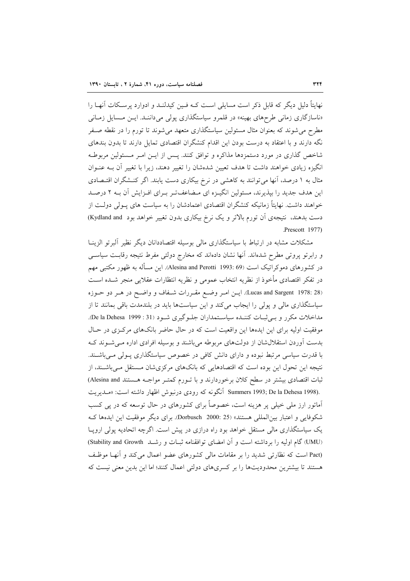نهایتاً دلیل دیگر که قابل ذکر است مسایلی است کـه فـین کیدلنـد و ادوارد پرسـکات آنهـا را «ناسازگاری زمانی طرحهای بهینه» در قلمرو سیاستگذاری پولی می داننـد. ایـن مـسایل زمـانی مطرح می شوند که بعنوان مثال مسئولین سیاستگذاری متعهد می شوند تا تورم را در نقطه صـفر نگه دارند و با اعتقاد به درست بودن این اقدام کنشگران اقتصادی تمایل دارند تا بدون بندهای شاخص گذاری در مورد دستمزدها مذاکره و توافق کنند. پـس از ایــن امـر مـسئولین مربوطـه انگیزه زیادی خواهند داشت تا هدف تعیین شدهشان را تغییر دهند، زیرا با تغییر آن بـه عنـوان مثال به ۱ درصد، آنها می توانند به کاهشی در نرخ بیکاری دست یابند. اگر کنـشگران اقتـصادی این هدف جدید را بپذیرند، مسئولین انگیـزه ای مـضاعفتـر بـرای افـزایش آن بـه ۲ درصـد خواهند داشت. نهایتاً زمانیکه کنشگران اقتصادی اعتمادشان را به سیاست های پـولی دولـت از دست بدهند، نتیجهی اَن تورم بالاتر و یک نرخ بیکاری بدون تغییر خواهد بود Kydland and) Prescott 1977).

مشکلات مشابه در ارتباط با سیاستگذاری مالی بوسیله اقتصاددانان دیگر نظیر ألبرتو الزینـا و رابرتو پروتی مطرح شدهاند. آنها نشان دادهاند که مخارج دولتی مفرط نتیجه رقابت سیاسی در کشورهای دموکراتیک است (Alesina and Perotti 1993: 69). این مسأله به ظهور مکتبی مهم در تفكر اقتصادى مأخوذ از نظريه انتخاب عمومى و نظريه انتظارات عقلايي منجر شــده اســت (Lucas and Sargent 1978: 28). ايس امير وضع مقررات شفاف و واضع در هير دو حيوزه سیاستگذاری مالی و پولی را ایجاب میکند و این سیاستها باید در بلندمدت باقی بمانند تا از مداخلات مکرر و بے ثبات کننـده سیاسـتمداران جلـوگیری شـود (31 : De la Dehesa 1999). موفقیت اولیه برای این ایدهها این واقعیت است که در حال حاضر بانکهای مرکزی در حـال بدست آوردن استقلال شان از دولتهای مربوطه میباشند و بوسیله افرادی اداره مـی شـوند کـه با قدرت سیاسی مرتبط نبوده و دارای دانش کافی در خصوص سیاستگذاری پـولی مـیباشـند. نتیجه این تحول این بوده است که اقتصادهایی که بانکهای مرکزی شان مستقل مـیباشـند، از ثبات اقتصادی بیشتر در سطح کلان برخوردارند و با تـورم کمتـر مواجـه هـستند Alesina and) .Summers 1993; De la Dehesa 1998) آنگونه که رودی درنبوش اظهار داشته است: «مـديريت آماتور ارز ملی خیلی پر هزینه است، خصوصاً برای کشورهای در حال توسعه که در پی کسب شكوفايي و اعتبار بين|لمللي هستند» (Dorbusch 2000: 25). براي ديگر موفقيت اين ايدهها ك یک سیاستگذاری مالی مستقل خواهد بود راه درازی در پیش است. اگرچه اتحادیه پولی اروپـا (UMU) گام اولیه را برداشته است و آن امضای توافقنامه ثبـات و رشـد (Stability and Growth) (Pact است که نظارتی شدید را بر مقامات مالی کشورهای عضو اعمال می کند و آنها موظف هستند تا بیشترین محدودیتها را بر کسریهای دولتی اعمال کنند؛ اما این بدین معنی نیست که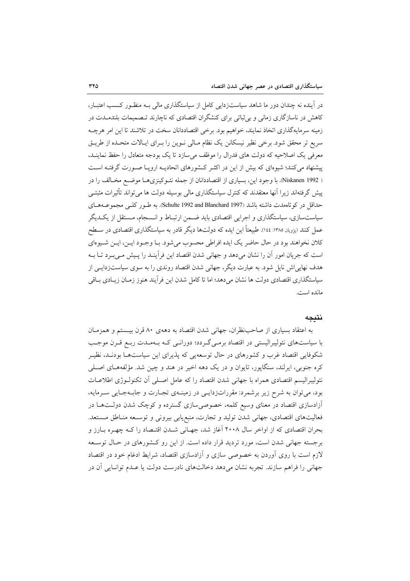در آینده نه چندان دور ما شاهد سیاستزدایی کامل از سیاستگذاری مالی بـه منظـور کـسب اعتبـار، کاهش در ناسازگاری زمانی و بی ثباتی برای کنشگران اقتصادی که ناچارند تـصمیمات بلندمــدت در زمینه سرمایهگذاری اتخاذ نمایند، خواهیم بود. برخی اقتصاددانان سخت در تلاشند تا این امر هرچـه سریع تر محقق شود. برخی نظیر نیسکانن یک نظام مـالی نـوین را بـرای ایـالات متحـده از طریـق معرفی یک اصلاحیه که دولت های فدرال را موظف می سازد تا یک بودجه متعادل را حفظ نماینــد. پیشنهاد میکنند؛ شیوهای که بیش از این در اکثـر کـشورهای اتحادیـه اروپـا صـورت گرفتـه اسـت ( Niskanen 1992). با وجود این، بسیاری از اقتصاددانان از جمله نئـوکینزی هـا موضـع مخـالف را در پیش گرفتهاند زیرا آنها معتقدند که کنترل سیاستگذاری مالی بوسیله دولت ها می تواند تأثیرات مثبتــی حداقل در كوتاهمدت داشته باشد (Schulte 1992 and Blanchard 1997). به طـور كلـى مجموعـههـاى سیاستسازی، سیاستگذاری و اجرایی اقتصادی باید ضـمن ارتبـاط و انـسجام، مـستقل از یکـدیگر عمل کنند (پژویان ۱۳۸۵: ۱٤٤). طبیعتاً این ایده که دولتها دیگر قادر به سیاستگذاری اقتصادی در سـطح كلان نخواهند بود در حال حاضر يك ايده افراطي محسوب مي شود. بـا وجـود ايـن، ايـن شـيوهاي است که جریان امور آن را نشان میدهد و جهانی شدن اقتصاد این فرآینـد را پـیش مـیبـرد تـا بــه هدف نهایی اش نایل شود. به عبارت دیگر، جهانی شدن اقتصاد روندی را به سوی سیاستزدایـی از سیاستگذاری اقتصادی دولت ها نشان می دهد؛ اما تا کامل شدن این فرآیند هنوز زمـان زیــادی بــاقی مانده است.

#### نتىجە

به اعتقاد بسیاری از صاحب نظران، جهانی شدن اقتصاد به دههی ۸۰ قرن بیستم و همزمـان با سیاستهای نئولیبرالیستی در اقتصاد برمـیگـردد؛ دورانـی کـه بـهمـدت ربـع قـرن موجـب شکوفایی اقتصاد غرب و کشورهای در حال توسعهیی که پذیرای این سیاستهـا بودنـد، نظیـر کره جنوبی، ایرلند، سنگاپور، تایوان و در یک دهه اخیر در هند و چین شد. مؤلفههـای اصـلی نئولیبرالیسم اقتصادی همراه با جهانی شدن اقتصاد را که عامل اصـلی آن تکنولـوژی اطلاعـات بود، میتوان به شرح زیر برشمرد: مقرراتزدایمی در زمینهی تجارت و جابهجایی سرمایه، آزادسازی اقتصاد در معنای وسیع کلمه، خصوصی سازی گسترده و کوچک شدن دولـتهـا در فعالیتهای اقتصادی، جهانی شدن تولید و تجارت، منبع یابی بیرونی و توسعه منـاطق مـستعد. بحران اقتصادی که از اواخر سال ۲۰۰۸ آغاز شد، جهـانی شـدن اقتـصاد را کـه چهـره بـارز و برجسته جهانی شدن است، مورد تردید قرار داده است. از این رو کـشورهای در حـال توسـعه لازم است با روی آوردن به خصوصی سازی و آزادسازی اقتصاد، شرایط ادغام خود در اقتصاد جهاني را فراهم سازند. تجربه نشان مي دهد دخالتهاي نادرست دولت يا عـدم توانـايي آن در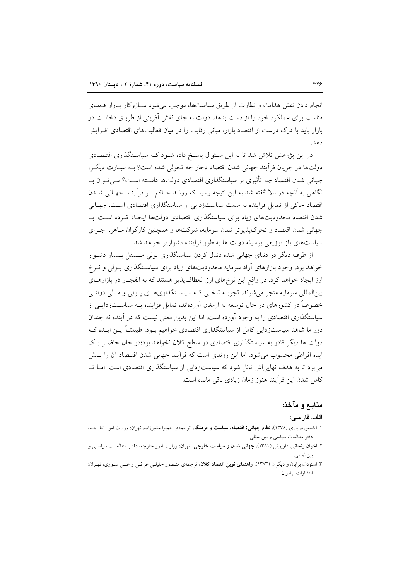انجام دادن نقش هدایت و نظارت از طریق سیاستها، موجب می شود سـازوکار بـازار فـضای مناسب برای عملکرد خود را از دست بدهد. دولت به جای نقش آفرینی از طریــق دخالــت در بازار باید با درک درست از اقتصاد بازار، مبانی رقابت را در میان فعالیتهای اقتصادی افـزایش دهد.

در این پژوهش تلاش شد تا به این سـئوال پاسـخ داده شـود کـه سیاسـتگذاری اقتـصادی دولتها در جريان فرأيند جهاني شدن اقتصاد دچار چه تحولي شده است؟ بـه عبـارت ديگـر، جهانی شدن اقتصاد چه تأثیری بر سیاستگذاری اقتصادی دولتها داشته اسـت؟ مـی تـوان بـا نگاهی به آنچه در بالا گفته شد به این نتیجه رسید که رونـد حـاکم بـر فرآینـد جهـانی شــدن اقتصاد حاکی از تمایل فزاینده به سمت سیاستزدایی از سیاستگذاری اقتصادی است. جهـانی شدن اقتصاد محدودیتهای زیاد برای سیاستگذاری اقتصادی دولتها ایجـاد کـرده اسـت. بـا جهانی شدن اقتصاد و تحرک پذیر تر شدن سرمایه، شرکتها و همچنین کارگران مـاهر، اجـرای سیاستهای باز توزیعی بوسیله دولت ها به طور فزاینده دشوارتر خواهد شد.

از طرف دیگر در دنیای جهانی شده دنبال کردن سیاستگذاری پولی مستقل بسیار دشوار خواهد بود. وجود بازارهای آزاد سرمایه محدودیتهای زیاد برای سیاستگذاری پـولی و نـرخ ارز ایجاد خواهد کرد. در واقع این نرخهای ارز انعطافپذیر هستند که به انفجـار در بازارهـای بینالمللی سرمایه منجر میشوند. تجربـه تلخـی کـه سیاسـتگذاریهـای پـولی و مـالی دولتـی خصوصاً در کشورهای در حال توسعه به ارمغان اَوردهاند، تمایل فزاینده بــه سیاســتزدایــی از سیاستگذاری اقتصادی را به وجود آورده است. اما این بدین معنی نیست که در آینده نه چندان دور ما شاهد سیاست; دایی کامل از سیاستگذاری اقتصادی خواهیم بـود. طبیعتـاً ایـن ایـده کـه دولت ها دیگر قادر به سیاستگذاری اقتصادی در سطح کلان نخواهد بود؛در حال حاضـر یـک ایده افراطی محسوب می شود. اما این روندی است که فرآیند جهانی شدن اقتـصاد آن را پـیش می برد تا به هدف نهایی اش نائل شود که سیاستزدایی از سیاستگذاری اقتصادی است. امـا تـا كامل شدن اين فرآيند هنوز زمان زيادي باقي مانده است.

# منابع و مآخذ:

#### الف. فارسي:

- ۱. آکسفورد، باری (۱۳۷۸)، **نظام جهانی: اقتصاد، سیاست و فرهنگ**، ترجمهی حمیرا مشیرزاده، تهران: وزارت امور خارجـه، دفتر مطالعات سياسي و بينالمللي.
- ۲. اخوان زنجانی، داریوش (۱۳۸۱)، **جهانی شدن و سیاست خارجی**، تهران: وزارت امور خارجه، دفتـر مطالعـات سیاسـی و بين المللي.

۳. اسنودن، برایان و دیگران (۱۳۸۳)، **راهنمای نوین اقتصاد کلان**، ترجمهی منصور خلیلـی عراقـی و علـی سـوری، تهـران: انتشارات برادران.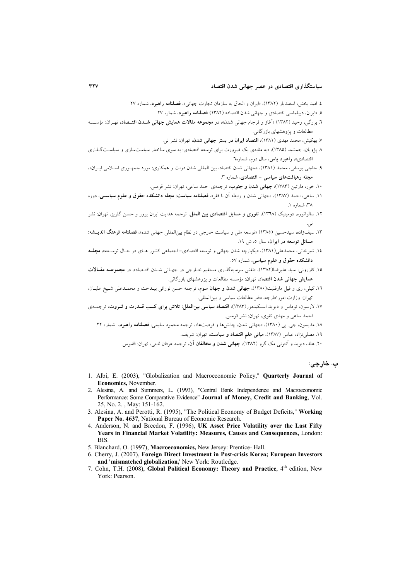٤. اميد بخش، اسفندبار (١٣٨٢)، «ابران و الحاق به سازمان تجارت جهاني»، **فصلنامه راهبرد**، شماره ٢٧

۰. «ایران، دیپلماسی اقتصادی و جهانی شدن اقتصاد» (۱۳۸۲) فصلنامه راهبرد، شماره ۲۷

- ٦. بزرگی، وحید (١٣٨٢) «آغاز و فرجام جهانی شدن»، در مجموعه مقالات همایش جهانی شـدن اقتـصاد، تهـران: مؤســــــه مطالعات و یژوهشهای بازرگانی.
	- ۷. بهکیش، محمد مهدی (۱۳۸۱)، اقتصاد ایران در بستر جهانی شدن، تهران: نشر نی.
- ۸ پژویان، جمشید (۱۳۸۵)، «به مثابهی یک ضرورت برای توسعه اقتصادی: به سوی ساختار سیاستسازی و سیاستگذاری اقتصادي»، راهبرد ياس، سال دوم، شماره٦.
- ۹. حاجي يوسفي، محمد (١٣٨١)، «جهاني شدن اقتصاد، بين المللي شدن دولت و همكاري: مورد جمهوري اسـلامي ايـران»، مجله رهیافتهای سیاسی – اقتصادی، شماره ۳.
	- ۱۰. خور، مارتین (۱۳۸۳)، **جهانی شدن و جنوب**، ترجمهی احمد ساعی، تهران: نشر قومس.
- ۱۱. ساعه، احمد (۱۳۸۷)، «جهانی شدن و رابطه آن با فقر»، **فصلنامه سیاست: محله دانشکده حقوق و علوم سیاسی**، دوره ۳۸، شماره ۱.
- ۱۲. سالواتوره، دومینیک (۱۳٦۸)، **تئوری و مسایل اقتصادی بین الملل**، ترجمه هدایت ایران پرور و حسن گلریز، تهران: نشر نبي.
- ۱۳. سیفزاده، سیدحسین (۱۳۸۵) «توسعه مل<sub>ی</sub> و سیاست خارجی در نظام بینالملل<sub>ی</sub> جهان<sub>ی</sub> شده»، ف**صلنامه فرهنگ اندیـــث**مه: مسائل توسعه در ايران، سال ٥، ش ١٩.
- ۱۶. شیرخانی، محمدعلی(۱۳۸۱)، «یکپارچه شدن جهانی و توسعه اقتصادی- اجتماعی کشور هـای در حـال توسـعه»، مجلــه دانشکده حقوق و علوم سیاسی، شماره ٥٧.
- .<br>۱۵. کازرونی، سید علیرضا(۱۳۸۲)، «نقش سرمایهگذاری مستقیم خــارجی در جهـانی شــدن اقتــصاد»، در مجموعــه مقــالات همایش جهانی شدن اقتصاد، تهران: مؤسسه مطالعات و پژوهشهای بازرگانی.
- ۱٦. کیلی، ری و فیل مارفلیت(۱۳۸۰)، **جهانی شدن و جهان سوم**، ترجمه حسن نورائی بیــدخت و محمــدعلی شــیخ علیــان، تهران: وزارت امورخارجه، دفتر مطالعات سياسي و بين|لمللي.
- ۱۷. لارسون، توماس و دیوید اسـکیدمور(۱۳۸۳)، اقتصا<mark>د سیاسی بین|لملل: تلاش برای کسب قــدرت و ثــروت</mark>، ترجمــهی احمد ساعي و مهدي تقوي، تهران: نشر قومس.

۱۸. مديسون، جي. يي (١٣٨٠)، «جهاني شدن، چالشها و فرصتها»، ترجمه محمود سليمي، **فصلنامه راهبرد**، شماره ٢٢. ١٩. مصلى نژاد، عباس (١٣٨٧)، م**بانى علم اقتصاد و سياست**، تهران: شريف.

۲۰. هلد، دیوید و اَنتونی مک گرو (۱۳۸۲)، **جهانی شدن و مخالفان اَن**، ترجمه عرفان ثابتی، تهران: ققنوس.

### ب. خارجي:

- 1. Albi, E. (2003), "Globalization and Macroeconomic Policy," Quarterly Journal of Economics, November.
- 2. Alesina, A. and Summers, L. (1993), "Central Bank Independence and Macroeconomic Performance: Some Comparative Evidence" Journal of Money, Credit and Banking, Vol. 25, No. 2., May: 151-162.
- 3. Alesina, A. and Perotti, R. (1995), "The Political Economy of Budget Deficits," Working Paper No. 4637, National Bureau of Economic Research.
- 4. Anderson, N. and Breedon, F. (1996), UK Asset Price Volatility over the Last Fifty Years in Financial Market Volatility: Measures, Causes and Consequences, London: **RIS**
- 5. Blanchard, O. (1997), Macroeconomics, New Jersey: Prentice-Hall.
- 6. Cherry, J. (2007), Foreign Direct Investment in Post-crisis Korea; European Investors and 'mismatched globalization,' New York: Routledge.
- 7. Cohn, T.H. (2008), Global Political Economy: Theory and Practice, 4th edition, New York: Pearson.